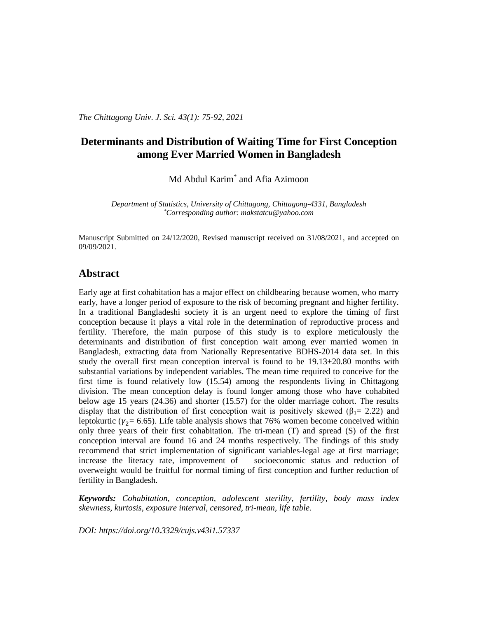*The Chittagong Univ. J. Sci. 43(1): 75-92, 2021*

# **Determinants and Distribution of Waiting Time for First Conception among Ever Married Women in Bangladesh**

Md Abdul Karim\* and Afia Azimoon

*Department of Statistics, University of Chittagong, Chittagong-4331, Bangladesh \*Corresponding author: makstatcu@yahoo.com*

Manuscript Submitted on 24/12/2020, Revised manuscript received on 31/08/2021, and accepted on 09/09/2021.

# **Abstract**

Early age at first cohabitation has a major effect on childbearing because women, who marry early, have a longer period of exposure to the risk of becoming pregnant and higher fertility. In a traditional Bangladeshi society it is an urgent need to explore the timing of first conception because it plays a vital role in the determination of reproductive process and fertility. Therefore, the main purpose of this study is to explore meticulously the determinants and distribution of first conception wait among ever married women in Bangladesh, extracting data from Nationally Representative BDHS-2014 data set. In this study the overall first mean conception interval is found to be  $19.13\pm20.80$  months with substantial variations by independent variables. The mean time required to conceive for the first time is found relatively low (15.54) among the respondents living in Chittagong division. The mean conception delay is found longer among those who have cohabited below age 15 years (24.36) and shorter (15.57) for the older marriage cohort. The results display that the distribution of first conception wait is positively skewed ( $\beta_1$ = 2.22) and leptokurtic ( $\gamma$ <sub>2</sub> = 6.65). Life table analysis shows that 76% women become conceived within only three years of their first cohabitation. The tri-mean (T) and spread (S) of the first conception interval are found 16 and 24 months respectively. The findings of this study recommend that strict implementation of significant variables-legal age at first marriage; increase the literacy rate, improvement of socioeconomic status and reduction of overweight would be fruitful for normal timing of first conception and further reduction of fertility in Bangladesh.

*Keywords: Cohabitation, conception, adolescent sterility, fertility, body mass index skewness, kurtosis, exposure interval, censored, tri-mean, life table.*

*DOI:<https://doi.org/10.3329/cujs.v43i1.57337>*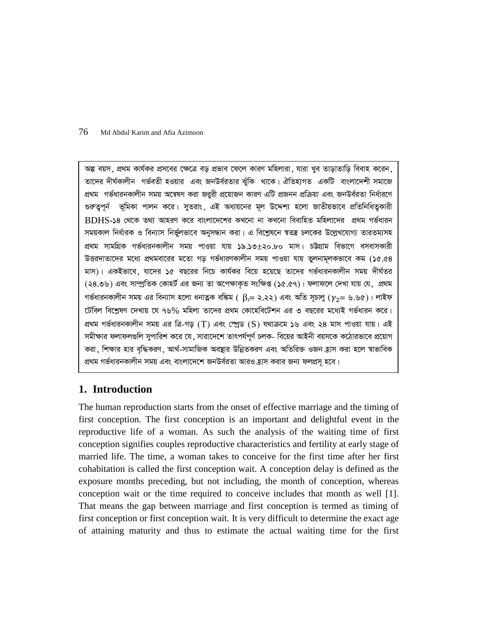অল্প বয়স, প্রথম কার্যকর প্রসবের ক্ষেত্রে বড় প্রভাব ফেলে কারণ মহিলারা, যারা খুব তাড়াতাড়ি বিবাহ করেন, তাদের দীর্ঘকালীন গর্ভবতী হওয়ার এবং জনউর্বরতার ঝুঁকি থাকে। ঐতিহ্যগত একটি বাংলাদেশী সমাজে প্রথম গর্ভধারনকালীন সময় অন্বেষণ করা জররী প্রয়োজন কারণ এটি প্রজনন প্রক্রিয়া এবং জনউর্বরতা নির্ধারণে গুরুতুপূর্ন ভূমিকা পালন করে। সুতরাং, এই অধ্যয়নের মূল উদ্দেশ্য হলো জাতীয়ভাবে প্রতিনিধিত্বুকারী  $B\rm{DHS}$ -১৪ থেকে তথ্য আহরণ করে বাংলাদেশের কখনো না কখনো বিবাহিত মহিলাদের প্রথম গর্ভধারন সময়কাল নির্ধারক ও বিন্যাস নির্ভুলভাবে অনুসন্ধান করা। এ বিশ্লেষনে স্বতন্ত্র চলকের উল্লেখযোগ্য তারতম্যসহ প্রথম সামগ্রিক গর্ভধারনকালীন সময় পাওয়া যায় ১৯.১৩±২০.৮০ মাস। চউগ্রাম বিভাগে বসবাসকারী উত্তরদাতাদের মধ্যে প্রথমবারের মতো গড গর্ভধারণকালীন সময় পাওয়া যায় তলনামলকভাবে কম (১৫.৫৪ মাস)। একইভাবে, যাদের ১৫ বছরের নিচে কার্যকর বিয়ে হয়েছে তাদের গর্ভধারনকালীন সময় দীর্ঘতর (২৪.৩৬) এবং সাম্প্রতিক কোহর্ট এর জন্য তা অপেক্ষাকৃত সংক্ষিপ্ত (১৫.৫৭)। ফলাফলে দেখা যায় যে, প্রথম গর্ভধারনকালীন সময় এর বিন্যাস হলো ধনাত্মক বঙ্কিম (  $\beta_2$ = ২.২২) এবং অতি সূচালু ( $\gamma_2$ = ৬.৬৫)। লাইফ টেবিল বিশ্রেষণ দেখায় যে ৭৬% মহিলা তাদের প্রথম কোহেবিটেশন এর ৩ বছরের মধ্যেই গর্ভধারন করে। প্রথম গর্ভধারনকালীন সময় এর ত্রি-গড় (T) এবং স্প্রেড (S) যথাক্রমে ১৬ এবং ২৪ মাস পাওয়া যায়। এই সমীক্ষার ফলাফলগুলি সুপারিশ করে যে, সারাদেশে তাৎপর্যপূর্ণ চলক- বিয়ের আইনী বয়সকে কঠোরভাবে প্রয়োগ করা, শিক্ষার হার বৃদ্ধিকরণ, আর্থ-সামাজিক অবষ্থার উন্নিতকরণ এবং অতিরিক্ত ওজন হ্রাস করা হলে স্বাভাবিক প্রথম গর্ভধারনকালীন সময় এবং বাংলাদেশে জনউর্বরতা আরও হ্রাস করার জন্য ফলপ্রসূ হবে।

# **1. Introduction**

The human reproduction starts from the onset of effective marriage and the timing of first conception. The first conception is an important and delightful event in the reproductive life of a woman. As such the analysis of the waiting time of first conception signifies couples reproductive characteristics and fertility at early stage of married life. The time, a woman takes to conceive for the first time after her first cohabitation is called the first conception wait. A conception delay is defined as the exposure months preceding, but not including, the month of conception, whereas conception wait or the time required to conceive includes that month as well [1]. That means the gap between marriage and first conception is termed as timing of first conception or first conception wait. It is very difficult to determine the exact age of attaining maturity and thus to estimate the actual waiting time for the first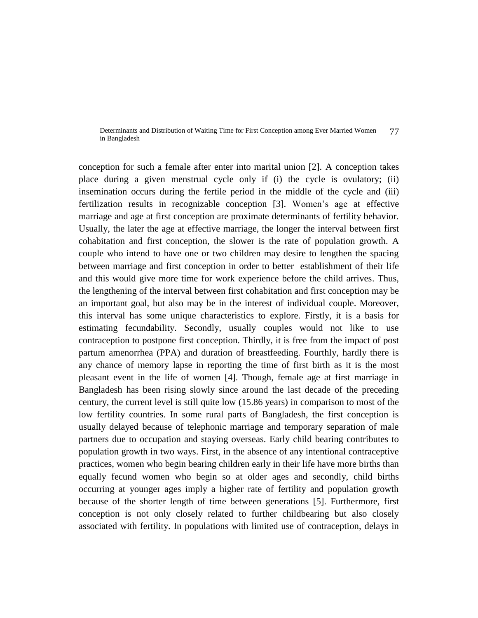conception for such a female after enter into marital union [2]. A conception takes place during a given menstrual cycle only if (i) the cycle is ovulatory; (ii) insemination occurs during the fertile period in the middle of the cycle and (iii) fertilization results in recognizable conception [3]. Women's age at effective marriage and age at first conception are proximate determinants of fertility behavior. Usually, the later the age at effective marriage, the longer the interval between first cohabitation and first conception, the slower is the rate of population growth. A couple who intend to have one or two children may desire to lengthen the spacing between marriage and first conception in order to better establishment of their life and this would give more time for work experience before the child arrives. Thus, the lengthening of the interval between first cohabitation and first conception may be an important goal, but also may be in the interest of individual couple. Moreover, this interval has some unique characteristics to explore. Firstly, it is a basis for estimating fecundability. Secondly, usually couples would not like to use contraception to postpone first conception. Thirdly, it is free from the impact of post partum amenorrhea (PPA) and duration of breastfeeding. Fourthly, hardly there is any chance of memory lapse in reporting the time of first birth as it is the most pleasant event in the life of women [4]. Though, female age at first marriage in Bangladesh has been rising slowly since around the last decade of the preceding century, the current level is still quite low (15.86 years) in comparison to most of the low fertility countries. In some rural parts of Bangladesh, the first conception is usually delayed because of telephonic marriage and temporary separation of male partners due to occupation and staying overseas. Early child bearing contributes to population growth in two ways. First, in the absence of any intentional contraceptive practices, women who begin bearing children early in their life have more births than equally fecund women who begin so at older ages and secondly, child births occurring at younger ages imply a higher rate of fertility and population growth because of the shorter length of time between generations [5]. Furthermore, first conception is not only closely related to further childbearing but also closely associated with fertility. In populations with limited use of contraception, delays in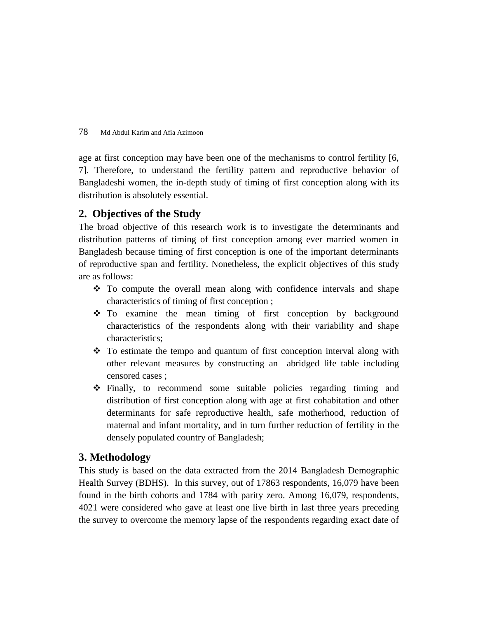age at first conception may have been one of the mechanisms to control fertility [6, 7]. Therefore, to understand the fertility pattern and reproductive behavior of Bangladeshi women, the in-depth study of timing of first conception along with its distribution is absolutely essential.

# **2. Objectives of the Study**

The broad objective of this research work is to investigate the determinants and distribution patterns of timing of first conception among ever married women in Bangladesh because timing of first conception is one of the important determinants of reproductive span and fertility. Nonetheless, the explicit objectives of this study are as follows:

- $\div$  To compute the overall mean along with confidence intervals and shape characteristics of timing of first conception ;
- To examine the mean timing of first conception by background characteristics of the respondents along with their variability and shape characteristics;
- To estimate the tempo and quantum of first conception interval along with other relevant measures by constructing an abridged life table including censored cases ;
- Finally, to recommend some suitable policies regarding timing and distribution of first conception along with age at first cohabitation and other determinants for safe reproductive health, safe motherhood, reduction of maternal and infant mortality, and in turn further reduction of fertility in the densely populated country of Bangladesh;

# **3. Methodology**

This study is based on the data extracted from the 2014 Bangladesh Demographic Health Survey (BDHS). In this survey, out of 17863 respondents, 16,079 have been found in the birth cohorts and 1784 with parity zero. Among 16,079, respondents, 4021 were considered who gave at least one live birth in last three years preceding the survey to overcome the memory lapse of the respondents regarding exact date of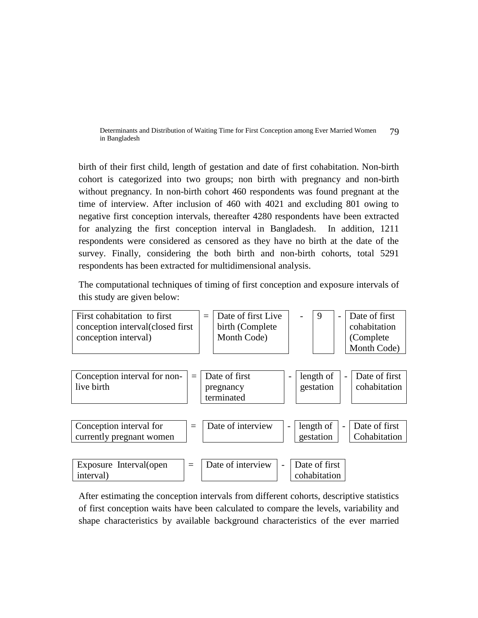birth of their first child, length of gestation and date of first cohabitation. Non-birth cohort is categorized into two groups; non birth with pregnancy and non-birth without pregnancy. In non-birth cohort 460 respondents was found pregnant at the time of interview. After inclusion of 460 with 4021 and excluding 801 owing to negative first conception intervals, thereafter 4280 respondents have been extracted for analyzing the first conception interval in Bangladesh. In addition, 1211 respondents were considered as censored as they have no birth at the date of the survey. Finally, considering the both birth and non-birth cohorts, total 5291 respondents has been extracted for multidimensional analysis.

The computational techniques of timing of first conception and exposure intervals of this study are given below:



After estimating the conception intervals from different cohorts, descriptive statistics of first conception waits have been calculated to compare the levels, variability and shape characteristics by available background characteristics of the ever married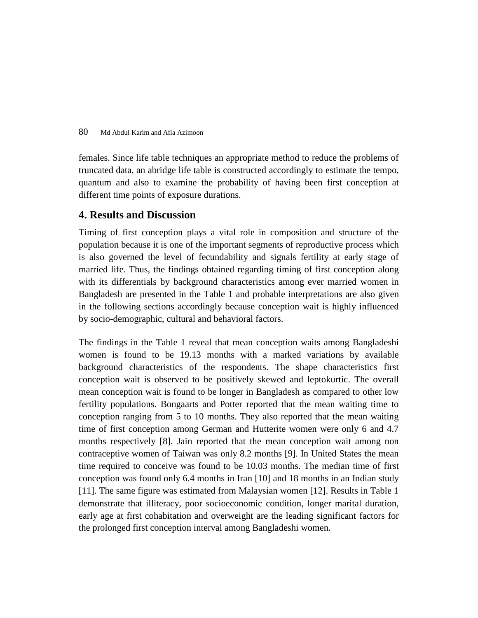females. Since life table techniques an appropriate method to reduce the problems of truncated data, an abridge life table is constructed accordingly to estimate the tempo, quantum and also to examine the probability of having been first conception at different time points of exposure durations.

## **4. Results and Discussion**

Timing of first conception plays a vital role in composition and structure of the population because it is one of the important segments of reproductive process which is also governed the level of fecundability and signals fertility at early stage of married life. Thus, the findings obtained regarding timing of first conception along with its differentials by background characteristics among ever married women in Bangladesh are presented in the Table 1 and probable interpretations are also given in the following sections accordingly because conception wait is highly influenced by socio-demographic, cultural and behavioral factors.

The findings in the Table 1 reveal that mean conception waits among Bangladeshi women is found to be 19.13 months with a marked variations by available background characteristics of the respondents. The shape characteristics first conception wait is observed to be positively skewed and leptokurtic. The overall mean conception wait is found to be longer in Bangladesh as compared to other low fertility populations. Bongaarts and Potter reported that the mean waiting time to conception ranging from 5 to 10 months. They also reported that the mean waiting time of first conception among German and Hutterite women were only 6 and 4.7 months respectively [8]. Jain reported that the mean conception wait among non contraceptive women of Taiwan was only 8.2 months [9]. In United States the mean time required to conceive was found to be 10.03 months. The median time of first conception was found only 6.4 months in Iran [10] and 18 months in an Indian study [11]. The same figure was estimated from Malaysian women [12]. Results in Table 1 demonstrate that illiteracy, poor socioeconomic condition, longer marital duration, early age at first cohabitation and overweight are the leading significant factors for the prolonged first conception interval among Bangladeshi women.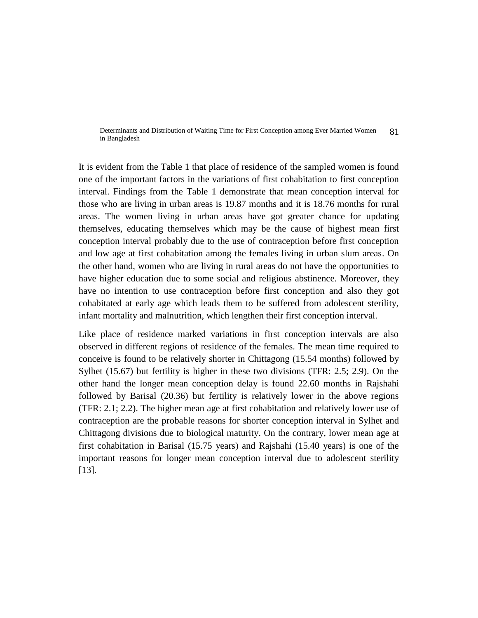It is evident from the Table 1 that place of residence of the sampled women is found one of the important factors in the variations of first cohabitation to first conception interval. Findings from the Table 1 demonstrate that mean conception interval for those who are living in urban areas is 19.87 months and it is 18.76 months for rural areas. The women living in urban areas have got greater chance for updating themselves, educating themselves which may be the cause of highest mean first conception interval probably due to the use of contraception before first conception and low age at first cohabitation among the females living in urban slum areas. On the other hand, women who are living in rural areas do not have the opportunities to have higher education due to some social and religious abstinence. Moreover, they have no intention to use contraception before first conception and also they got cohabitated at early age which leads them to be suffered from adolescent sterility, infant mortality and malnutrition, which lengthen their first conception interval.

Like place of residence marked variations in first conception intervals are also observed in different regions of residence of the females. The mean time required to conceive is found to be relatively shorter in Chittagong (15.54 months) followed by Sylhet (15.67) but fertility is higher in these two divisions (TFR: 2.5; 2.9). On the other hand the longer mean conception delay is found 22.60 months in Rajshahi followed by Barisal (20.36) but fertility is relatively lower in the above regions (TFR: 2.1; 2.2). The higher mean age at first cohabitation and relatively lower use of contraception are the probable reasons for shorter conception interval in Sylhet and Chittagong divisions due to biological maturity. On the contrary, lower mean age at first cohabitation in Barisal (15.75 years) and Rajshahi (15.40 years) is one of the important reasons for longer mean conception interval due to adolescent sterility [13].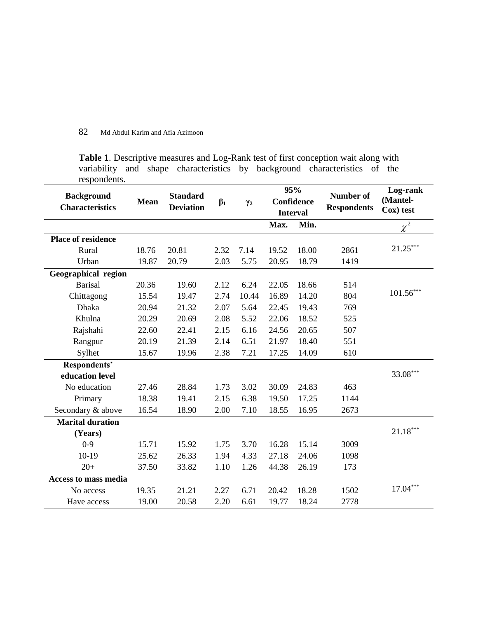**Table 1**. Descriptive measures and Log-Rank test of first conception wait along with variability and shape characteristics by background characteristics of the respondents.

|                                             |             | <b>Standard</b>  |           |            | 95%<br>Confidence<br><b>Interval</b> |       | <b>Number of</b>   | Log-rank                |
|---------------------------------------------|-------------|------------------|-----------|------------|--------------------------------------|-------|--------------------|-------------------------|
| <b>Background</b><br><b>Characteristics</b> | <b>Mean</b> | <b>Deviation</b> | $\beta_1$ | $\gamma_2$ |                                      |       |                    | (Mantel-                |
|                                             |             |                  |           |            |                                      |       | <b>Respondents</b> | Cox) test               |
|                                             |             |                  |           |            | Max.                                 | Min.  |                    | $\overline{\chi^2}$     |
| <b>Place of residence</b>                   |             |                  |           |            |                                      |       |                    |                         |
| Rural                                       | 18.76       | 20.81            | 2.32      | 7.14       | 19.52                                | 18.00 | 2861               | $21.25***$              |
| Urban                                       | 19.87       | 20.79            | 2.03      | 5.75       | 20.95                                | 18.79 | 1419               |                         |
| <b>Geographical region</b>                  |             |                  |           |            |                                      |       |                    |                         |
| <b>Barisal</b>                              | 20.36       | 19.60            | 2.12      | 6.24       | 22.05                                | 18.66 | 514                |                         |
| Chittagong                                  | 15.54       | 19.47            | 2.74      | 10.44      | 16.89                                | 14.20 | 804                | $101.56^{\ast\ast\ast}$ |
| <b>Dhaka</b>                                | 20.94       | 21.32            | 2.07      | 5.64       | 22.45                                | 19.43 | 769                |                         |
| Khulna                                      | 20.29       | 20.69            | 2.08      | 5.52       | 22.06                                | 18.52 | 525                |                         |
| Rajshahi                                    | 22.60       | 22.41            | 2.15      | 6.16       | 24.56                                | 20.65 | 507                |                         |
| Rangpur                                     | 20.19       | 21.39            | 2.14      | 6.51       | 21.97                                | 18.40 | 551                |                         |
| Sylhet                                      | 15.67       | 19.96            | 2.38      | 7.21       | 17.25                                | 14.09 | 610                |                         |
| Respondents'                                |             |                  |           |            |                                      |       |                    |                         |
| education level                             |             |                  |           |            |                                      |       |                    | $33.08***$              |
| No education                                | 27.46       | 28.84            | 1.73      | 3.02       | 30.09                                | 24.83 | 463                |                         |
| Primary                                     | 18.38       | 19.41            | 2.15      | 6.38       | 19.50                                | 17.25 | 1144               |                         |
| Secondary & above                           | 16.54       | 18.90            | 2.00      | 7.10       | 18.55                                | 16.95 | 2673               |                         |
| <b>Marital duration</b>                     |             |                  |           |            |                                      |       |                    |                         |
| (Years)                                     |             |                  |           |            |                                      |       |                    | $21.18^{\ast\ast\ast}$  |
| $0 - 9$                                     | 15.71       | 15.92            | 1.75      | 3.70       | 16.28                                | 15.14 | 3009               |                         |
| $10-19$                                     | 25.62       | 26.33            | 1.94      | 4.33       | 27.18                                | 24.06 | 1098               |                         |
| $20+$                                       | 37.50       | 33.82            | 1.10      | 1.26       | 44.38                                | 26.19 | 173                |                         |
| <b>Access to mass media</b>                 |             |                  |           |            |                                      |       |                    |                         |
| No access                                   | 19.35       | 21.21            | 2.27      | 6.71       | 20.42                                | 18.28 | 1502               | $17.04***$              |
| Have access                                 | 19.00       | 20.58            | 2.20      | 6.61       | 19.77                                | 18.24 | 2778               |                         |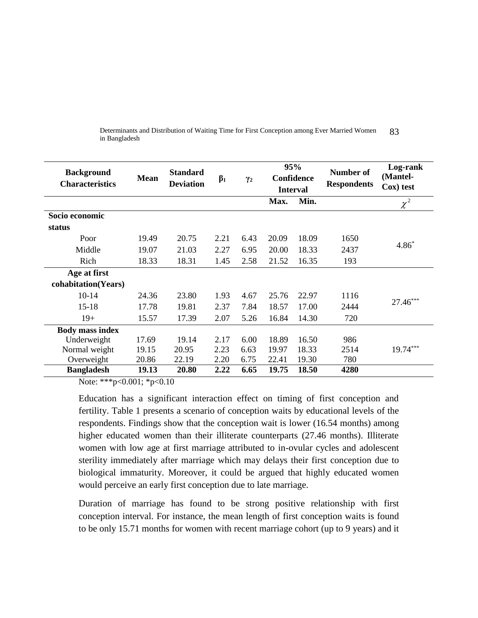| <b>Background</b><br><b>Characteristics</b> | <b>Mean</b> | <b>Standard</b><br><b>Deviation</b> | $\beta_1$ | $\gamma_2$ |       | 95%<br>Confidence<br><b>Interval</b> | Number of<br><b>Respondents</b> | Log-rank<br>(Mantel-<br>Cox) test |
|---------------------------------------------|-------------|-------------------------------------|-----------|------------|-------|--------------------------------------|---------------------------------|-----------------------------------|
|                                             |             |                                     |           |            | Max.  | Min.                                 |                                 | $\chi^2$                          |
| Socio economic                              |             |                                     |           |            |       |                                      |                                 |                                   |
| status                                      |             |                                     |           |            |       |                                      |                                 |                                   |
| Poor                                        | 19.49       | 20.75                               | 2.21      | 6.43       | 20.09 | 18.09                                | 1650                            | $4.86*$                           |
| Middle                                      | 19.07       | 21.03                               | 2.27      | 6.95       | 20.00 | 18.33                                | 2437                            |                                   |
| Rich                                        | 18.33       | 18.31                               | 1.45      | 2.58       | 21.52 | 16.35                                | 193                             |                                   |
| Age at first                                |             |                                     |           |            |       |                                      |                                 |                                   |
| cohabitation(Years)                         |             |                                     |           |            |       |                                      |                                 |                                   |
| $10 - 14$                                   | 24.36       | 23.80                               | 1.93      | 4.67       | 25.76 | 22.97                                | 1116                            | $27.46***$                        |
| $15 - 18$                                   | 17.78       | 19.81                               | 2.37      | 7.84       | 18.57 | 17.00                                | 2444                            |                                   |
| $19+$                                       | 15.57       | 17.39                               | 2.07      | 5.26       | 16.84 | 14.30                                | 720                             |                                   |
| <b>Body mass index</b>                      |             |                                     |           |            |       |                                      |                                 |                                   |
| Underweight                                 | 17.69       | 19.14                               | 2.17      | 6.00       | 18.89 | 16.50                                | 986                             |                                   |
| Normal weight                               | 19.15       | 20.95                               | 2.23      | 6.63       | 19.97 | 18.33                                | 2514                            | $19.74***$                        |
| Overweight                                  | 20.86       | 22.19                               | 2.20      | 6.75       | 22.41 | 19.30                                | 780                             |                                   |
| <b>Bangladesh</b>                           | 19.13       | 20.80                               | 2.22      | 6.65       | 19.75 | 18.50                                | 4280                            |                                   |

Note: \*\*\*p<0.001; \*p<0.10

Education has a significant interaction effect on timing of first conception and fertility. Table 1 presents a scenario of conception waits by educational levels of the respondents. Findings show that the conception wait is lower (16.54 months) among higher educated women than their illiterate counterparts (27.46 months). Illiterate women with low age at first marriage attributed to in-ovular cycles and adolescent sterility immediately after marriage which may delays their first conception due to biological immaturity. Moreover, it could be argued that highly educated women would perceive an early first conception due to late marriage.

Duration of marriage has found to be strong positive relationship with first conception interval. For instance, the mean length of first conception waits is found to be only 15.71 months for women with recent marriage cohort (up to 9 years) and it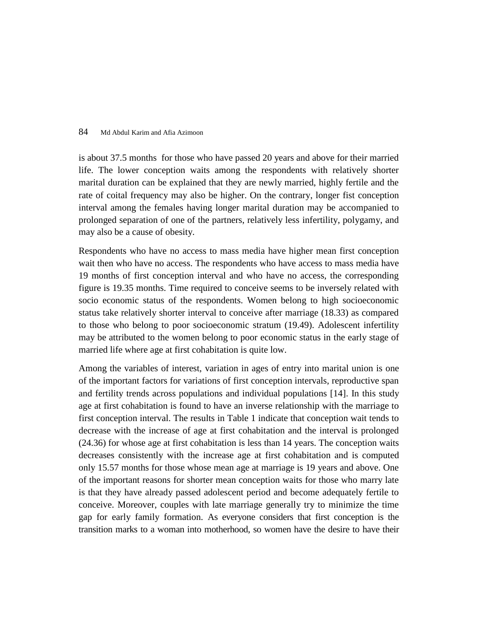is about 37.5 months for those who have passed 20 years and above for their married life. The lower conception waits among the respondents with relatively shorter marital duration can be explained that they are newly married, highly fertile and the rate of coital frequency may also be higher. On the contrary, longer fist conception interval among the females having longer marital duration may be accompanied to prolonged separation of one of the partners, relatively less infertility, polygamy, and may also be a cause of obesity.

Respondents who have no access to mass media have higher mean first conception wait then who have no access. The respondents who have access to mass media have 19 months of first conception interval and who have no access, the corresponding figure is 19.35 months. Time required to conceive seems to be inversely related with socio economic status of the respondents. Women belong to high socioeconomic status take relatively shorter interval to conceive after marriage (18.33) as compared to those who belong to poor socioeconomic stratum (19.49). Adolescent infertility may be attributed to the women belong to poor economic status in the early stage of married life where age at first cohabitation is quite low.

Among the variables of interest, variation in ages of entry into marital union is one of the important factors for variations of first conception intervals, reproductive span and fertility trends across populations and individual populations [14]. In this study age at first cohabitation is found to have an inverse relationship with the marriage to first conception interval. The results in Table 1 indicate that conception wait tends to decrease with the increase of age at first cohabitation and the interval is prolonged (24.36) for whose age at first cohabitation is less than 14 years. The conception waits decreases consistently with the increase age at first cohabitation and is computed only 15.57 months for those whose mean age at marriage is 19 years and above. One of the important reasons for shorter mean conception waits for those who marry late is that they have already passed adolescent period and become adequately fertile to conceive. Moreover, couples with late marriage generally try to minimize the time gap for early family formation. As everyone considers that first conception is the transition marks to a woman into motherhood, so women have the desire to have their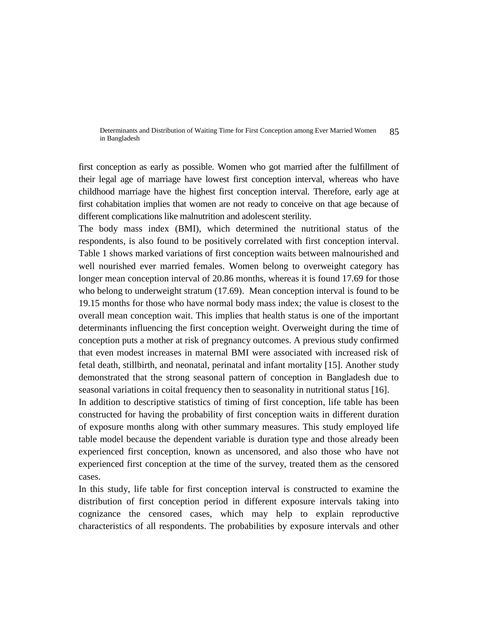first conception as early as possible. Women who got married after the fulfillment of their legal age of marriage have lowest first conception interval, whereas who have childhood marriage have the highest first conception interval. Therefore, early age at first cohabitation implies that women are not ready to conceive on that age because of different complications like malnutrition and adolescent sterility.

The body mass index (BMI), which determined the nutritional status of the respondents, is also found to be positively correlated with first conception interval. Table 1 shows marked variations of first conception waits between malnourished and well nourished ever married females. Women belong to overweight category has longer mean conception interval of 20.86 months, whereas it is found 17.69 for those who belong to underweight stratum (17.69). Mean conception interval is found to be 19.15 months for those who have normal body mass index; the value is closest to the overall mean conception wait. This implies that health status is one of the important determinants influencing the first conception weight. Overweight during the time of conception puts a mother at risk of pregnancy outcomes. A previous study confirmed that even modest increases in maternal BMI were associated with increased risk of fetal death, stillbirth, and neonatal, perinatal and infant mortality [15]. Another study demonstrated that the strong seasonal pattern of conception in Bangladesh due to seasonal variations in coital frequency then to seasonality in nutritional status [16]. In addition to descriptive statistics of timing of first conception, life table has been constructed for having the probability of first conception waits in different duration of exposure months along with other summary measures. This study employed life table model because the dependent variable is duration type and those already been

experienced first conception, known as uncensored, and also those who have not experienced first conception at the time of the survey, treated them as the censored cases.

In this study, life table for first conception interval is constructed to examine the distribution of first conception period in different exposure intervals taking into cognizance the censored cases, which may help to explain reproductive characteristics of all respondents. The probabilities by exposure intervals and other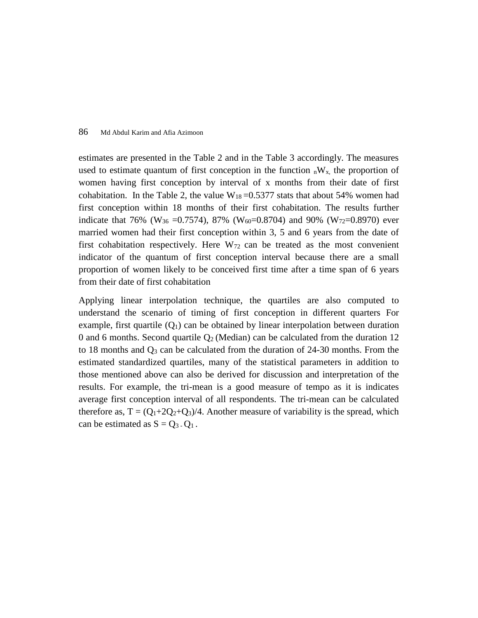estimates are presented in the Table 2 and in the Table 3 accordingly. The measures used to estimate quantum of first conception in the function  $nW_x$ , the proportion of women having first conception by interval of x months from their date of first cohabitation. In the Table 2, the value  $W_{18} = 0.5377$  stats that about 54% women had first conception within 18 months of their first cohabitation. The results further indicate that 76% (W<sub>36</sub> = 0.7574), 87% (W<sub>60</sub> = 0.8704) and 90% (W<sub>72</sub> = 0.8970) ever married women had their first conception within 3, 5 and 6 years from the date of first cohabitation respectively. Here  $W_{72}$  can be treated as the most convenient indicator of the quantum of first conception interval because there are a small proportion of women likely to be conceived first time after a time span of 6 years from their date of first cohabitation

Applying linear interpolation technique, the quartiles are also computed to understand the scenario of timing of first conception in different quarters For example, first quartile  $(Q_1)$  can be obtained by linear interpolation between duration 0 and 6 months. Second quartile  $Q_2$  (Median) can be calculated from the duration 12 to 18 months and  $Q_3$  can be calculated from the duration of 24-30 months. From the estimated standardized quartiles, many of the statistical parameters in addition to those mentioned above can also be derived for discussion and interpretation of the results. For example, the tri-mean is a good measure of tempo as it is indicates average first conception interval of all respondents. The tri-mean can be calculated therefore as,  $T = (Q_1 + 2Q_2 + Q_3)/4$ . Another measure of variability is the spread, which can be estimated as  $S = Q_3 - Q_1$ .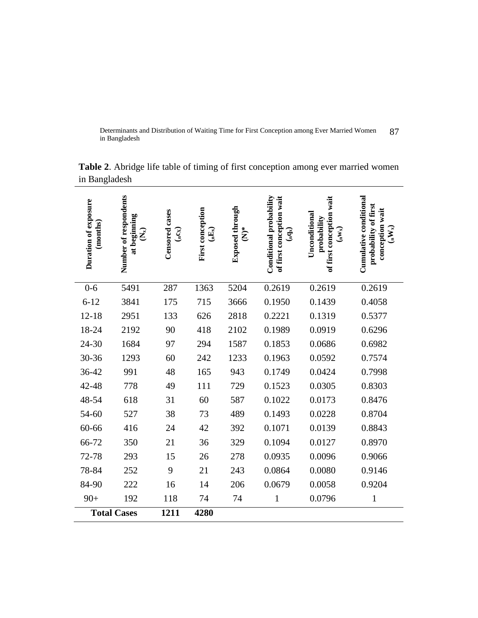| Determinants and Distribution of Waiting Time for First Conception among Ever Married Women | 87 |
|---------------------------------------------------------------------------------------------|----|
| in Bangladesh                                                                               |    |

**Duration of exposure (months) Number of respondents at beginning** Conditional probability **Conditional probability** Cumulative conditional **Cumulative conditional** of first conception wait **of first conception wait** of first conception wait **of first conception wait** probability of first **probability of first First conception**  $\binom{n}{n}$ Exposed through<br>(N)\* **Exposed through** conception wait **First conception** Censored cases **Unconditional conception wait Censored cases** Unconditional probability **probability (nqx) (nwx) (ncX)**  $(W_{\mathbf{x}})$ **(Nx)** 0-6 5491 287 1363 5204 0.2619 0.2619 0.2619 6-12 3841 175 715 3666 0.1950 0.1439 0.4058 12-18 2951 133 626 2818 0.2221 0.1319 0.5377 18-24 2192 90 418 2102 0.1989 0.0919 0.6296 24-30 1684 97 294 1587 0.1853 0.0686 0.6982 30-36 1293 60 242 1233 0.1963 0.0592 0.7574 36-42 991 48 165 943 0.1749 0.0424 0.7998 42-48 778 49 111 729 0.1523 0.0305 0.8303 48-54 618 31 60 587 0.1022 0.0173 0.8476 54-60 527 38 73 489 0.1493 0.0228 0.8704 60-66 416 24 42 392 0.1071 0.0139 0.8843 66-72 350 21 36 329 0.1094 0.0127 0.8970 72-78 293 15 26 278 0.0935 0.0096 0.9066 78-84 252 9 21 243 0.0864 0.0080 0.9146 84-90 222 16 14 206 0.0679 0.0058 0.9204 90+ 192 118 74 74 1 0.0796 1 **Total Cases 1211 4280**

**Table 2**. Abridge life table of timing of first conception among ever married women in Bangladesh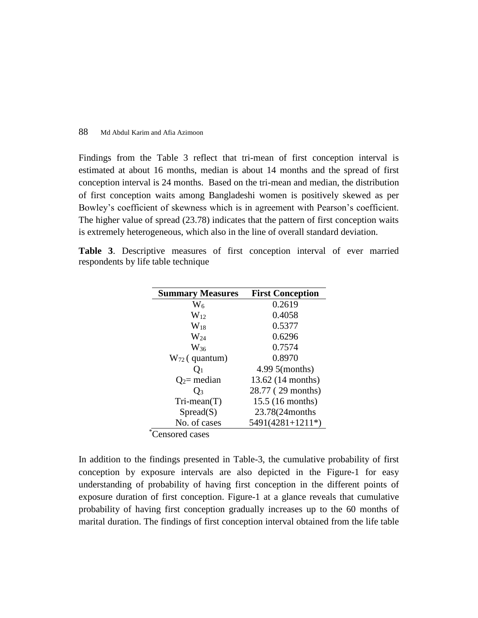Findings from the Table 3 reflect that tri-mean of first conception interval is estimated at about 16 months, median is about 14 months and the spread of first conception interval is 24 months. Based on the tri-mean and median, the distribution of first conception waits among Bangladeshi women is positively skewed as per Bowley's coefficient of skewness which is in agreement with Pearson's coefficient. The higher value of spread (23.78) indicates that the pattern of first conception waits is extremely heterogeneous, which also in the line of overall standard deviation.

**Table 3**. Descriptive measures of first conception interval of ever married respondents by life table technique

| <b>Summary Measures</b> | <b>First Conception</b> |
|-------------------------|-------------------------|
| $\rm W_6$               | 0.2619                  |
| $\rm W_{12}$            | 0.4058                  |
| $W_{18}$                | 0.5377                  |
| $W_{24}$                | 0.6296                  |
| $W_{36}$                | 0.7574                  |
| $W_{72}$ (quantum)      | 0.8970                  |
| $\mathbf{O}_1$          | $4.99$ 5(months)        |
| $Q_2$ = median          | 13.62 (14 months)       |
| $\mathsf{Q}_3$          | 28.77 (29 months)       |
| $Tri-mean(T)$           | 15.5(16 months)         |
| $S$ pread $(S)$         | 23.78(24months)         |
| No. of cases            | $5491(4281+1211*)$      |
| Censored cases          |                         |

In addition to the findings presented in Table-3, the cumulative probability of first conception by exposure intervals are also depicted in the Figure-1 for easy understanding of probability of having first conception in the different points of exposure duration of first conception. Figure-1 at a glance reveals that cumulative probability of having first conception gradually increases up to the 60 months of marital duration. The findings of first conception interval obtained from the life table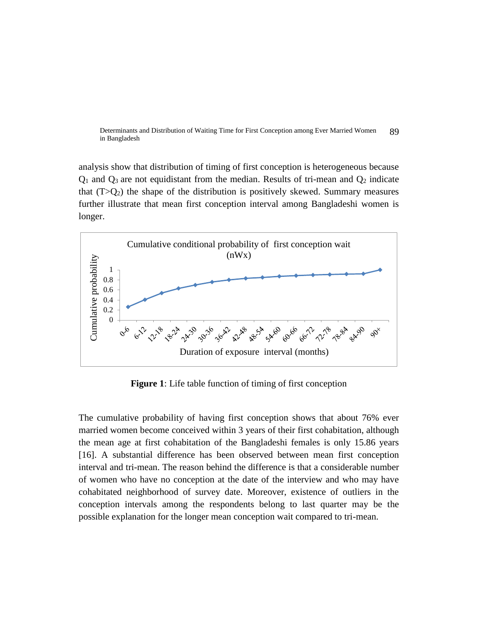analysis show that distribution of timing of first conception is heterogeneous because  $Q_1$  and  $Q_3$  are not equidistant from the median. Results of tri-mean and  $Q_2$  indicate that  $(T>Q<sub>2</sub>)$  the shape of the distribution is positively skewed. Summary measures further illustrate that mean first conception interval among Bangladeshi women is longer.



**Figure 1**: Life table function of timing of first conception

The cumulative probability of having first conception shows that about 76% ever married women become conceived within 3 years of their first cohabitation, although the mean age at first cohabitation of the Bangladeshi females is only 15.86 years [16]. A substantial difference has been observed between mean first conception interval and tri-mean. The reason behind the difference is that a considerable number of women who have no conception at the date of the interview and who may have cohabitated neighborhood of survey date. Moreover, existence of outliers in the conception intervals among the respondents belong to last quarter may be the possible explanation for the longer mean conception wait compared to tri-mean.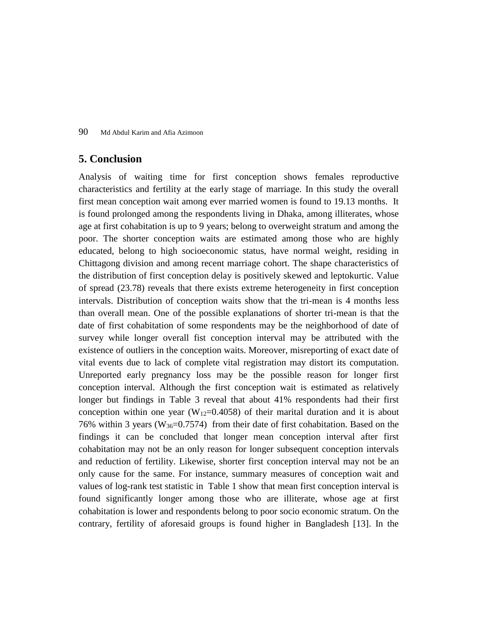# **5. Conclusion**

Analysis of waiting time for first conception shows females reproductive characteristics and fertility at the early stage of marriage. In this study the overall first mean conception wait among ever married women is found to 19.13 months. It is found prolonged among the respondents living in Dhaka, among illiterates, whose age at first cohabitation is up to 9 years; belong to overweight stratum and among the poor. The shorter conception waits are estimated among those who are highly educated, belong to high socioeconomic status, have normal weight, residing in Chittagong division and among recent marriage cohort. The shape characteristics of the distribution of first conception delay is positively skewed and leptokurtic. Value of spread (23.78) reveals that there exists extreme heterogeneity in first conception intervals. Distribution of conception waits show that the tri-mean is 4 months less than overall mean. One of the possible explanations of shorter tri-mean is that the date of first cohabitation of some respondents may be the neighborhood of date of survey while longer overall fist conception interval may be attributed with the existence of outliers in the conception waits. Moreover, misreporting of exact date of vital events due to lack of complete vital registration may distort its computation. Unreported early pregnancy loss may be the possible reason for longer first conception interval. Although the first conception wait is estimated as relatively longer but findings in Table 3 reveal that about 41% respondents had their first conception within one year ( $W_{12}=0.4058$ ) of their marital duration and it is about 76% within 3 years ( $W_{36}=0.7574$ ) from their date of first cohabitation. Based on the findings it can be concluded that longer mean conception interval after first cohabitation may not be an only reason for longer subsequent conception intervals and reduction of fertility. Likewise, shorter first conception interval may not be an only cause for the same. For instance, summary measures of conception wait and values of log-rank test statistic in Table 1 show that mean first conception interval is found significantly longer among those who are illiterate, whose age at first cohabitation is lower and respondents belong to poor socio economic stratum. On the contrary, fertility of aforesaid groups is found higher in Bangladesh [13]. In the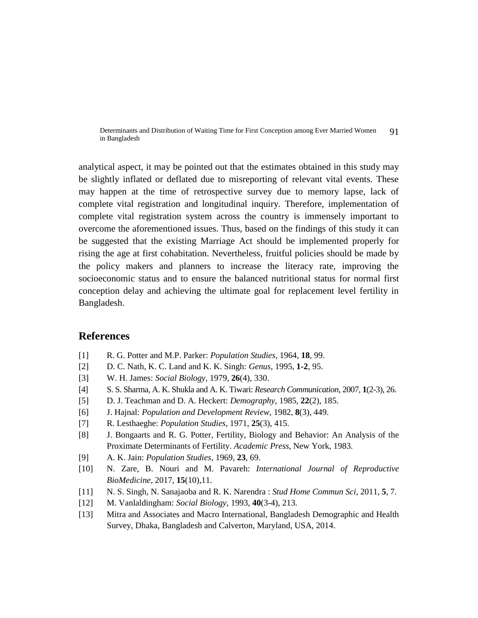analytical aspect, it may be pointed out that the estimates obtained in this study may be slightly inflated or deflated due to misreporting of relevant vital events. These may happen at the time of retrospective survey due to memory lapse, lack of complete vital registration and longitudinal inquiry. Therefore, implementation of complete vital registration system across the country is immensely important to overcome the aforementioned issues. Thus, based on the findings of this study it can be suggested that the existing Marriage Act should be implemented properly for rising the age at first cohabitation. Nevertheless, fruitful policies should be made by the policy makers and planners to increase the literacy rate, improving the socioeconomic status and to ensure the balanced nutritional status for normal first conception delay and achieving the ultimate goal for replacement level fertility in Bangladesh.

# **References**

- [1] R. G. Potter and M.P. Parker: *Population Studies*, 1964, **18**, 99.
- [2] D. C. Nath, K. C. Land and K. K. Singh: *Genus*, 1995, **1-2**, 95.
- [3] W. H. James: *Social Biology,* 1979, **26**(4), 330.
- [4] S. S. Sharma, A. K. Shukla and A. K. Tiwari: *Research Communication*, 2007, **1**(2-3), 26.
- [5] D. J. Teachman and D. A. Heckert: *Demography*, 1985, **22**(2), 185.
- [6] J. Hajnal: *Population and Development Review*, 1982, **8**(3), 449.
- [7] R. Lesthaeghe: *Population Studies*, 1971, **25**(3), 415.
- [8] J. Bongaarts and R. G. Potter, Fertility, Biology and Behavior: An Analysis of the Proximate Determinants of Fertility. *Academic Press*, New York, 1983.
- [9] A. K. Jain: *Population Studies*, 1969, **23**, 69.
- [10] N. Zare, B. Nouri and M. Pavareh: *International Journal of Reproductive BioMedicine*, 2017, **15**(10),11.
- [11] N. S. Singh, N. Sanajaoba and R. K. Narendra : *Stud Home Commun Sci*, 2011, **5**, 7.
- [12] M. Vanlaldingham: *Social Biology*, 1993, **40**(3-4), 213.
- [13] Mitra and Associates and Macro International, Bangladesh Demographic and Health Survey, Dhaka, Bangladesh and Calverton, Maryland, USA, 2014.